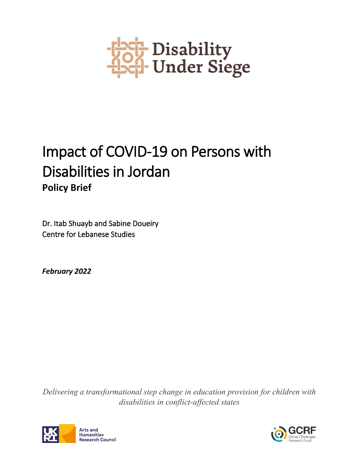

# Impact of COVID-19 on Persons with Disabilities in Jordan **Policy Brief**

Dr. Itab Shuayb and Sabine Doueiry Centre for Lebanese Studies

*February 2022*

*Delivering a transformational step change in education provision for children with disabilities in conflict-affected states*



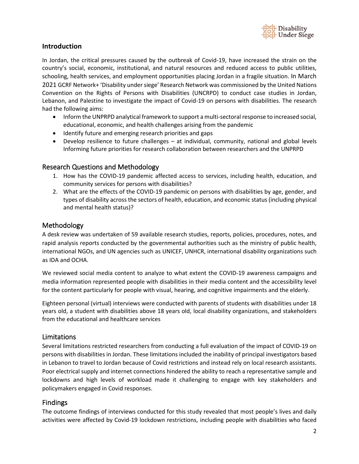

#### **Introduction**

In Jordan, the critical pressures caused by the outbreak of Covid-19, have increased the strain on the country's social, economic, institutional, and natural resources and reduced access to public utilities, schooling, health services, and employment opportunities placing Jordan in a fragile situation. In March 2021 GCRF Network+ 'Disability under siege' Research Network was commissioned by the United Nations Convention on the Rights of Persons with Disabilities (UNCRPD) to conduct case studies in Jordan, Lebanon, and Palestine to investigate the impact of Covid-19 on persons with disabilities. The research had the following aims:

- Inform the UNPRPD analytical framework to support a multi-sectoral response to increased social, educational, economic, and health challenges arising from the pandemic
- Identify future and emerging research priorities and gaps
- Develop resilience to future challenges at individual, community, national and global levels Informing future priorities for research collaboration between researchers and the UNPRPD

## Research Questions and Methodology

- 1. How has the COVID-19 pandemic affected access to services, including health, education, and community services for persons with disabilities?
- 2. What are the effects of the COVID-19 pandemic on persons with disabilities by age, gender, and types of disability across the sectors of health, education, and economic status (including physical and mental health status)?

## Methodology

A desk review was undertaken of 59 available research studies, reports, policies, procedures, notes, and rapid analysis reports conducted by the governmental authorities such as the ministry of public health, international NGOs, and UN agencies such as UNICEF, UNHCR, international disability organizations such as IDA and OCHA.

We reviewed social media content to analyze to what extent the COVID-19 awareness campaigns and media information represented people with disabilities in their media content and the accessibility level for the content particularly for people with visual, hearing, and cognitive impairments and the elderly.

Eighteen personal (virtual) interviews were conducted with parents of students with disabilities under 18 years old, a student with disabilities above 18 years old, local disability organizations, and stakeholders from the educational and healthcare services

#### Limitations

Several limitations restricted researchers from conducting a full evaluation of the impact of COVID-19 on persons with disabilities in Jordan. These limitations included the inability of principal investigators based in Lebanon to travel to Jordan because of Covid restrictions and instead rely on local research assistants. Poor electrical supply and internet connections hindered the ability to reach a representative sample and lockdowns and high levels of workload made it challenging to engage with key stakeholders and policymakers engaged in Covid responses.

#### Findings

The outcome findings of interviews conducted for this study revealed that most people's lives and daily activities were affected by Covid-19 lockdown restrictions, including people with disabilities who faced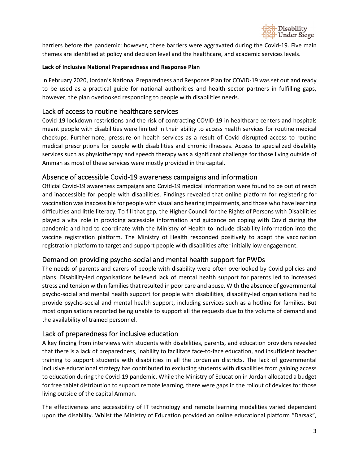

barriers before the pandemic; however, these barriers were aggravated during the Covid-19. Five main themes are identified at policy and decision level and the healthcare, and academic services levels.

#### **Lack of Inclusive National Preparedness and Response Plan**

In February 2020, Jordan's National Preparedness and Response Plan for COVID-19 was set out and ready to be used as a practical guide for national authorities and health sector partners in fulfilling gaps, however, the plan overlooked responding to people with disabilities needs.

# Lack of access to routine healthcare services

Covid-19 lockdown restrictions and the risk of contracting COVID-19 in healthcare centers and hospitals meant people with disabilities were limited in their ability to access health services for routine medical checkups. Furthermore, pressure on health services as a result of Covid disrupted access to routine medical prescriptions for people with disabilities and chronic illnesses. Access to specialized disability services such as physiotherapy and speech therapy was a significant challenge for those living outside of Amman as most of these services were mostly provided in the capital.

# Absence of accessible Covid-19 awareness campaigns and information

Official Covid-19 awareness campaigns and Covid-19 medical information were found to be out of reach and inaccessible for people with disabilities. Findings revealed that online platform for registering for vaccination was inaccessible for people with visual and hearing impairments, and those who have learning difficulties and little literacy. To fill that gap, the Higher Council for the Rights of Persons with Disabilities played a vital role in providing accessible information and guidance on coping with Covid during the pandemic and had to coordinate with the Ministry of Health to include disability information into the vaccine registration platform. The Ministry of Health responded positively to adapt the vaccination registration platform to target and support people with disabilities after initially low engagement.

# Demand on providing psycho-social and mental health support for PWDs

The needs of parents and carers of people with disability were often overlooked by Covid policies and plans. Disability-led organisations believed lack of mental health support for parents led to increased stress and tension within families that resulted in poor care and abuse. With the absence of governmental psycho-social and mental health support for people with disabilities, disability-led organisations had to provide psycho-social and mental health support, including services such as a hotline for families. But most organisations reported being unable to support all the requests due to the volume of demand and the availability of trained personnel.

# Lack of preparedness for inclusive education

A key finding from interviews with students with disabilities, parents, and education providers revealed that there is a lack of preparedness, inability to facilitate face-to-face education, and insufficient teacher training to support students with disabilities in all the Jordanian districts. The lack of governmental inclusive educational strategy has contributed to excluding students with disabilities from gaining access to education during the Covid-19 pandemic. While the Ministry of Education in Jordan allocated a budget for free tablet distribution to support remote learning, there were gaps in the rollout of devices for those living outside of the capital Amman.

The effectiveness and accessibility of IT technology and remote learning modalities varied dependent upon the disability. Whilst the Ministry of Education provided an online educational platform "Darsak",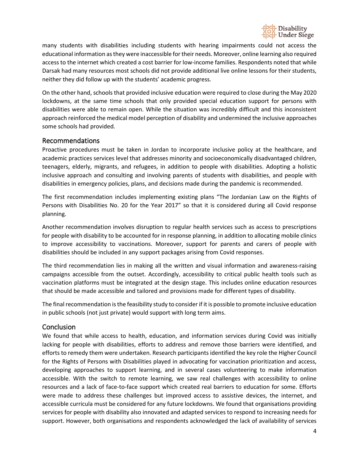

many students with disabilities including students with hearing impairments could not access the educational information as they were inaccessible for their needs. Moreover, online learning also required access to the internet which created a cost barrier for low-income families. Respondents noted that while Darsak had many resources most schools did not provide additional live online lessons for their students, neither they did follow up with the students' academic progress.

On the other hand, schools that provided inclusive education were required to close during the May 2020 lockdowns, at the same time schools that only provided special education support for persons with disabilities were able to remain open. While the situation was incredibly difficult and this inconsistent approach reinforced the medical model perception of disability and undermined the inclusive approaches some schools had provided.

## Recommendations

Proactive procedures must be taken in Jordan to incorporate inclusive policy at the healthcare, and academic practices services level that addresses minority and socioeconomically disadvantaged children, teenagers, elderly, migrants, and refugees, in addition to people with disabilities. Adopting a holistic inclusive approach and consulting and involving parents of students with disabilities, and people with disabilities in emergency policies, plans, and decisions made during the pandemic is recommended.

The first recommendation includes implementing existing plans "The Jordanian Law on the Rights of Persons with Disabilities No. 20 for the Year 2017" so that it is considered during all Covid response planning.

Another recommendation involves disruption to regular health services such as access to prescriptions for people with disability to be accounted for in response planning, in addition to allocating mobile clinics to improve accessibility to vaccinations. Moreover, support for parents and carers of people with disabilities should be included in any support packages arising from Covid responses.

The third recommendation lies in making all the written and visual information and awareness-raising campaigns accessible from the outset. Accordingly, accessibility to critical public health tools such as vaccination platforms must be integrated at the design stage. This includes online education resources that should be made accessible and tailored and provisions made for different types of disability.

The final recommendation is the feasibility study to consider if it is possible to promote inclusive education in public schools (not just private) would support with long term aims.

# **Conclusion**

We found that while access to health, education, and information services during Covid was initially lacking for people with disabilities, efforts to address and remove those barriers were identified, and efforts to remedy them were undertaken. Research participants identified the key role the Higher Council for the Rights of Persons with Disabilities played in advocating for vaccination prioritization and access, developing approaches to support learning, and in several cases volunteering to make information accessible. With the switch to remote learning, we saw real challenges with accessibility to online resources and a lack of face-to-face support which created real barriers to education for some. Efforts were made to address these challenges but improved access to assistive devices, the internet, and accessible curricula must be considered for any future lockdowns. We found that organisations providing services for people with disability also innovated and adapted services to respond to increasing needs for support. However, both organisations and respondents acknowledged the lack of availability of services